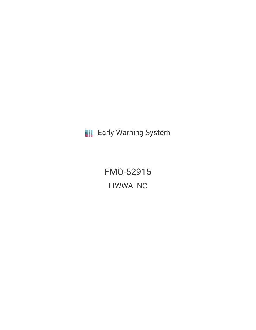**III** Early Warning System

FMO-52915 LIWWA INC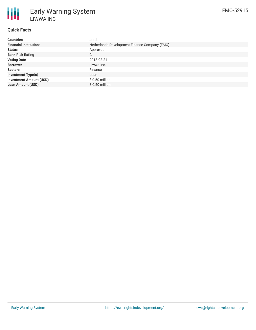

Early Warning System LIWWA INC

## **Quick Facts**

| <b>Countries</b>               | Jordan                                        |
|--------------------------------|-----------------------------------------------|
| <b>Financial Institutions</b>  | Netherlands Development Finance Company (FMO) |
| <b>Status</b>                  | Approved                                      |
| <b>Bank Risk Rating</b>        | C.                                            |
| <b>Voting Date</b>             | 2018-02-21                                    |
| <b>Borrower</b>                | Liwwa Inc.                                    |
| <b>Sectors</b>                 | Finance                                       |
| <b>Investment Type(s)</b>      | Loan                                          |
| <b>Investment Amount (USD)</b> | $$0.50$ million                               |
| <b>Loan Amount (USD)</b>       | $$0.50$ million                               |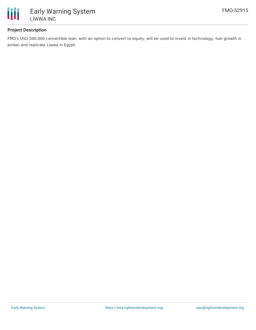

## **Project Description**

FMO's USD 500,000 convertible loan, with an option to convert to equity, will be used to invest in technology, fuel growth in Jordan and replicate Liwwa in Egypt.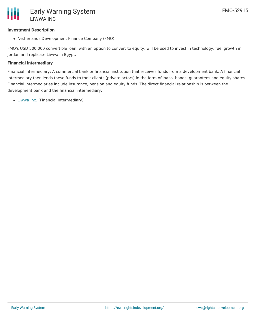### **Investment Description**

Netherlands Development Finance Company (FMO)

FMO's USD 500,000 convertible loan, with an option to convert to equity, will be used to invest in technology, fuel growth in Jordan and replicate Liwwa in Egypt.

### **Financial Intermediary**

Financial Intermediary: A commercial bank or financial institution that receives funds from a development bank. A financial intermediary then lends these funds to their clients (private actors) in the form of loans, bonds, guarantees and equity shares. Financial intermediaries include insurance, pension and equity funds. The direct financial relationship is between the development bank and the financial intermediary.

[Liwwa](file:///actor/470/) Inc. (Financial Intermediary)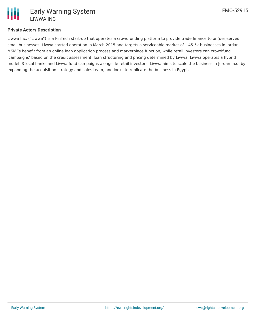

### **Private Actors Description**

Liwwa Inc. ("Liwwa") is a FinTech start-up that operates a crowdfunding platform to provide trade finance to un(der)served small businesses. Liwwa started operation in March 2015 and targets a serviceable market of ~45.5k businesses in Jordan. MSMEs benefit from an online loan application process and marketplace function, while retail investors can crowdfund 'campaigns' based on the credit assessment, loan structuring and pricing determined by Liwwa. Liwwa operates a hybrid model: 3 local banks and Liwwa fund campaigns alongside retail investors. Liwwa aims to scale the business in Jordan, a.o. by expanding the acquisition strategy and sales team, and looks to replicate the business in Egypt.